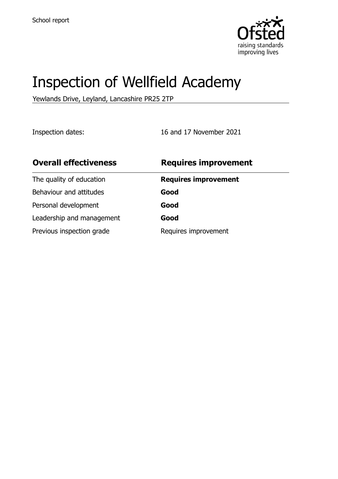

# Inspection of Wellfield Academy

Yewlands Drive, Leyland, Lancashire PR25 2TP

Inspection dates: 16 and 17 November 2021

| <b>Requires improvement</b> |
|-----------------------------|
| <b>Requires improvement</b> |
| Good                        |
| Good                        |
| Good                        |
| Requires improvement        |
|                             |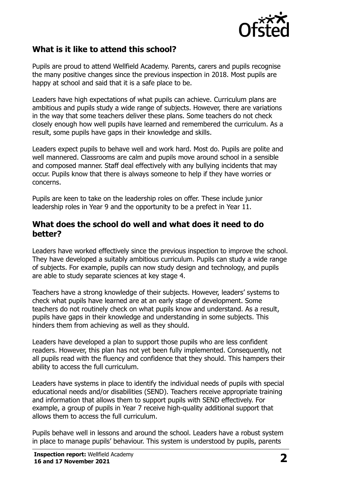

# **What is it like to attend this school?**

Pupils are proud to attend Wellfield Academy. Parents, carers and pupils recognise the many positive changes since the previous inspection in 2018. Most pupils are happy at school and said that it is a safe place to be.

Leaders have high expectations of what pupils can achieve. Curriculum plans are ambitious and pupils study a wide range of subjects. However, there are variations in the way that some teachers deliver these plans. Some teachers do not check closely enough how well pupils have learned and remembered the curriculum. As a result, some pupils have gaps in their knowledge and skills.

Leaders expect pupils to behave well and work hard. Most do. Pupils are polite and well mannered. Classrooms are calm and pupils move around school in a sensible and composed manner. Staff deal effectively with any bullying incidents that may occur. Pupils know that there is always someone to help if they have worries or concerns.

Pupils are keen to take on the leadership roles on offer. These include junior leadership roles in Year 9 and the opportunity to be a prefect in Year 11.

#### **What does the school do well and what does it need to do better?**

Leaders have worked effectively since the previous inspection to improve the school. They have developed a suitably ambitious curriculum. Pupils can study a wide range of subjects. For example, pupils can now study design and technology, and pupils are able to study separate sciences at key stage 4.

Teachers have a strong knowledge of their subjects. However, leaders' systems to check what pupils have learned are at an early stage of development. Some teachers do not routinely check on what pupils know and understand. As a result, pupils have gaps in their knowledge and understanding in some subjects. This hinders them from achieving as well as they should.

Leaders have developed a plan to support those pupils who are less confident readers. However, this plan has not yet been fully implemented. Consequently, not all pupils read with the fluency and confidence that they should. This hampers their ability to access the full curriculum.

Leaders have systems in place to identify the individual needs of pupils with special educational needs and/or disabilities (SEND). Teachers receive appropriate training and information that allows them to support pupils with SEND effectively. For example, a group of pupils in Year 7 receive high-quality additional support that allows them to access the full curriculum.

Pupils behave well in lessons and around the school. Leaders have a robust system in place to manage pupils' behaviour. This system is understood by pupils, parents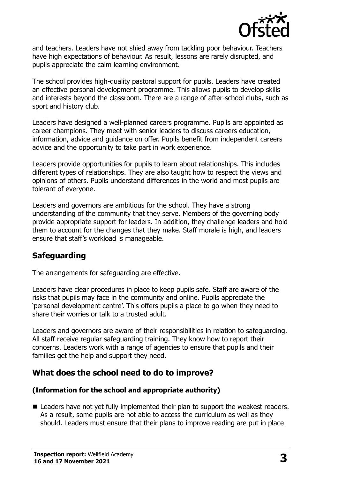

and teachers. Leaders have not shied away from tackling poor behaviour. Teachers have high expectations of behaviour. As result, lessons are rarely disrupted, and pupils appreciate the calm learning environment.

The school provides high-quality pastoral support for pupils. Leaders have created an effective personal development programme. This allows pupils to develop skills and interests beyond the classroom. There are a range of after-school clubs, such as sport and history club.

Leaders have designed a well-planned careers programme. Pupils are appointed as career champions. They meet with senior leaders to discuss careers education, information, advice and guidance on offer. Pupils benefit from independent careers advice and the opportunity to take part in work experience.

Leaders provide opportunities for pupils to learn about relationships. This includes different types of relationships. They are also taught how to respect the views and opinions of others. Pupils understand differences in the world and most pupils are tolerant of everyone.

Leaders and governors are ambitious for the school. They have a strong understanding of the community that they serve. Members of the governing body provide appropriate support for leaders. In addition, they challenge leaders and hold them to account for the changes that they make. Staff morale is high, and leaders ensure that staff's workload is manageable.

# **Safeguarding**

The arrangements for safeguarding are effective.

Leaders have clear procedures in place to keep pupils safe. Staff are aware of the risks that pupils may face in the community and online. Pupils appreciate the 'personal development centre'. This offers pupils a place to go when they need to share their worries or talk to a trusted adult.

Leaders and governors are aware of their responsibilities in relation to safeguarding. All staff receive regular safeguarding training. They know how to report their concerns. Leaders work with a range of agencies to ensure that pupils and their families get the help and support they need.

# **What does the school need to do to improve?**

#### **(Information for the school and appropriate authority)**

■ Leaders have not yet fully implemented their plan to support the weakest readers. As a result, some pupils are not able to access the curriculum as well as they should. Leaders must ensure that their plans to improve reading are put in place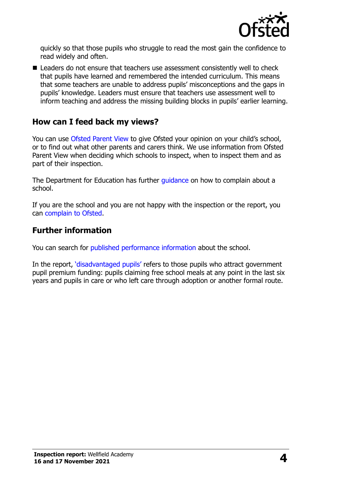

quickly so that those pupils who struggle to read the most gain the confidence to read widely and often.

■ Leaders do not ensure that teachers use assessment consistently well to check that pupils have learned and remembered the intended curriculum. This means that some teachers are unable to address pupils' misconceptions and the gaps in pupils' knowledge. Leaders must ensure that teachers use assessment well to inform teaching and address the missing building blocks in pupils' earlier learning.

#### **How can I feed back my views?**

You can use [Ofsted Parent View](http://parentview.ofsted.gov.uk/) to give Ofsted your opinion on your child's school, or to find out what other parents and carers think. We use information from Ofsted Parent View when deciding which schools to inspect, when to inspect them and as part of their inspection.

The Department for Education has further quidance on how to complain about a school.

If you are the school and you are not happy with the inspection or the report, you can [complain to Ofsted.](http://www.gov.uk/complain-ofsted-report)

#### **Further information**

You can search for [published performance information](http://www.compare-school-performance.service.gov.uk/) about the school.

In the report, '[disadvantaged pupils](http://www.gov.uk/guidance/pupil-premium-information-for-schools-and-alternative-provision-settings)' refers to those pupils who attract government pupil premium funding: pupils claiming free school meals at any point in the last six years and pupils in care or who left care through adoption or another formal route.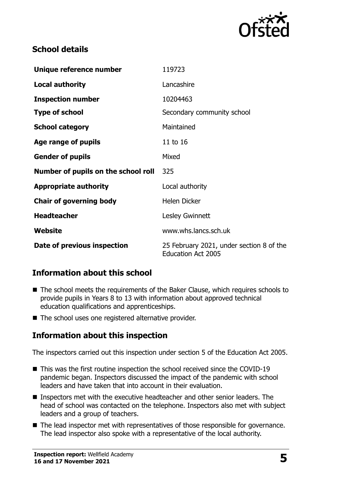

#### **School details**

| Unique reference number             | 119723                                                                |
|-------------------------------------|-----------------------------------------------------------------------|
| <b>Local authority</b>              | Lancashire                                                            |
| <b>Inspection number</b>            | 10204463                                                              |
| <b>Type of school</b>               | Secondary community school                                            |
| <b>School category</b>              | Maintained                                                            |
| Age range of pupils                 | 11 to 16                                                              |
| <b>Gender of pupils</b>             | Mixed                                                                 |
| Number of pupils on the school roll | 325                                                                   |
| <b>Appropriate authority</b>        | Local authority                                                       |
| <b>Chair of governing body</b>      | <b>Helen Dicker</b>                                                   |
| <b>Headteacher</b>                  | Lesley Gwinnett                                                       |
| Website                             | www.whs.lancs.sch.uk                                                  |
| Date of previous inspection         | 25 February 2021, under section 8 of the<br><b>Education Act 2005</b> |

# **Information about this school**

- The school meets the requirements of the Baker Clause, which requires schools to provide pupils in Years 8 to 13 with information about approved technical education qualifications and apprenticeships.
- The school uses one registered alternative provider.

#### **Information about this inspection**

The inspectors carried out this inspection under section 5 of the Education Act 2005.

- This was the first routine inspection the school received since the COVID-19 pandemic began. Inspectors discussed the impact of the pandemic with school leaders and have taken that into account in their evaluation.
- Inspectors met with the executive headteacher and other senior leaders. The head of school was contacted on the telephone. Inspectors also met with subject leaders and a group of teachers.
- The lead inspector met with representatives of those responsible for governance. The lead inspector also spoke with a representative of the local authority.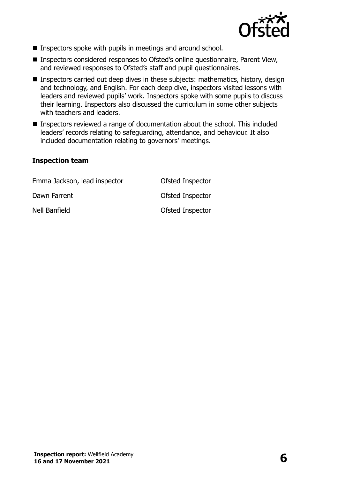

- Inspectors spoke with pupils in meetings and around school.
- Inspectors considered responses to Ofsted's online questionnaire, Parent View, and reviewed responses to Ofsted's staff and pupil questionnaires.
- Inspectors carried out deep dives in these subjects: mathematics, history, design and technology, and English. For each deep dive, inspectors visited lessons with leaders and reviewed pupils' work. Inspectors spoke with some pupils to discuss their learning. Inspectors also discussed the curriculum in some other subjects with teachers and leaders.
- Inspectors reviewed a range of documentation about the school. This included leaders' records relating to safeguarding, attendance, and behaviour. It also included documentation relating to governors' meetings.

#### **Inspection team**

| Emma Jackson, lead inspector | Ofsted Inspector        |
|------------------------------|-------------------------|
| Dawn Farrent                 | Ofsted Inspector        |
| Nell Banfield                | <b>Ofsted Inspector</b> |